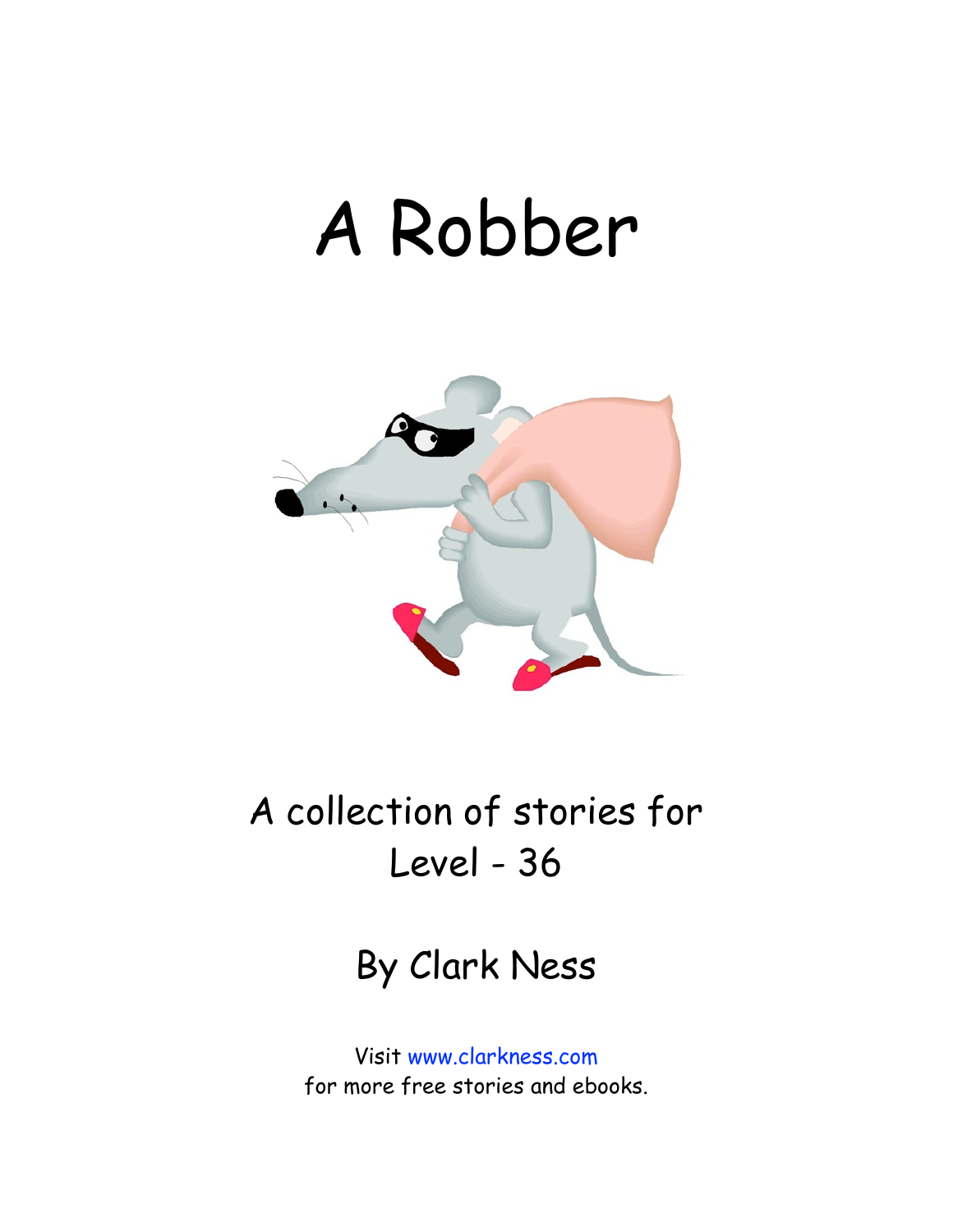## A Robber



A collection of stories for Level - 36

By Clark Ness

Visit [www.clarkness.com](http://www.clarkness.com) for more free stories and ebooks.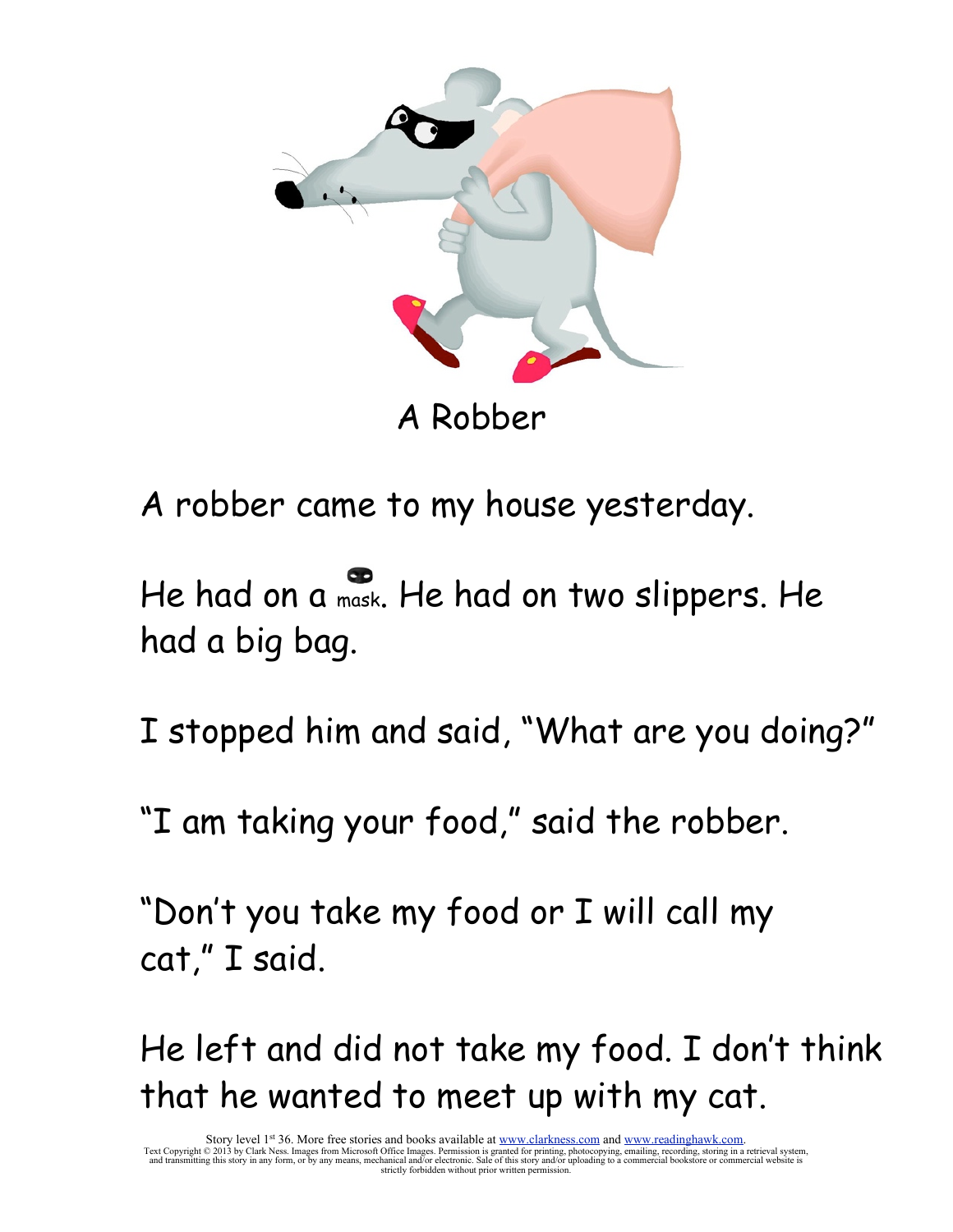

A Robber

A robber came to my house yesterday.

He had on a mask. He had on two slippers. He had a big bag.

I stopped him and said, "What are you doing?"

"I am taking your food," said the robber.

"Don't you take my food or I will call my cat," I said.

He left and did not take my food. I don't think that he wanted to meet up with my cat.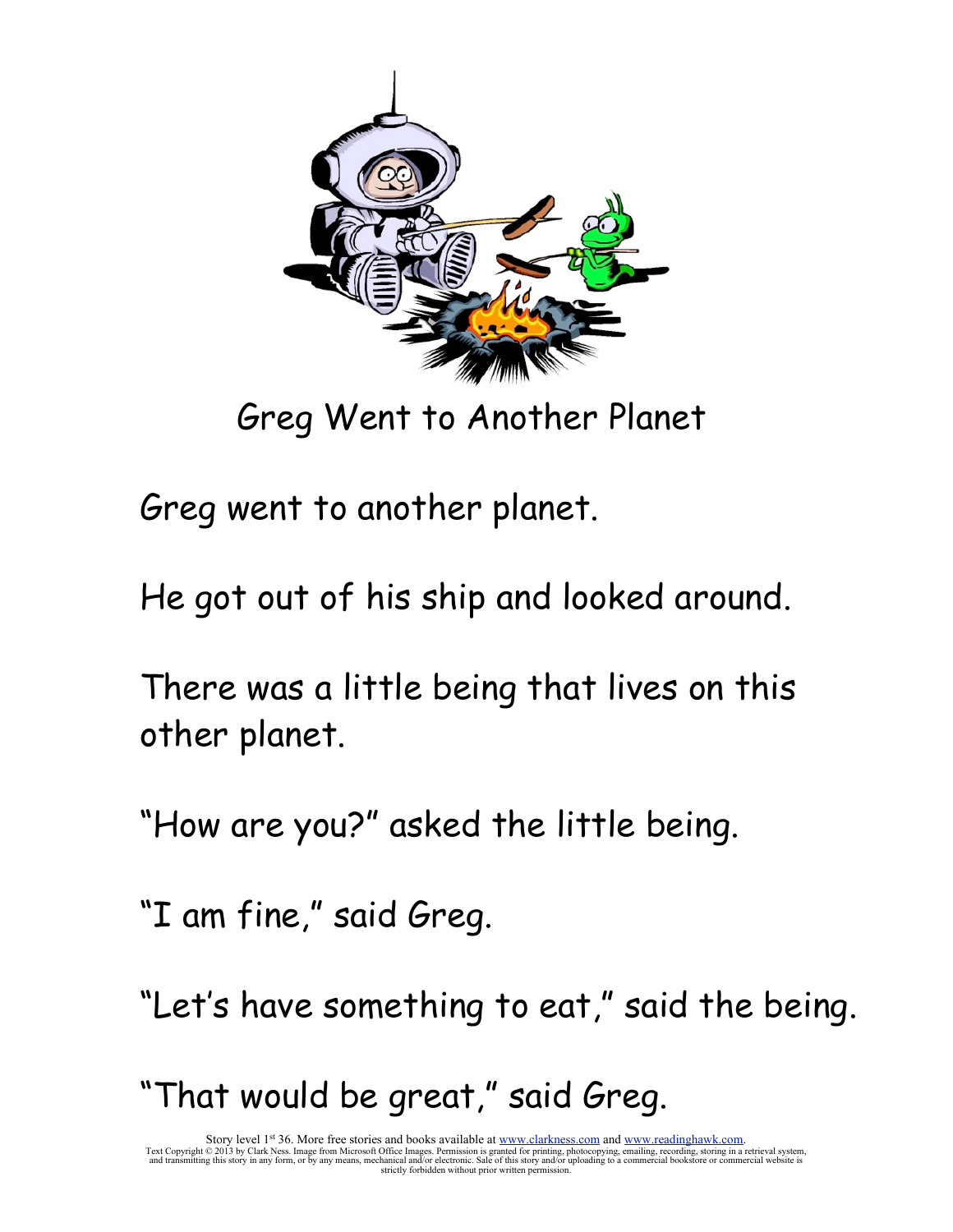

Greg Went to Another Planet

Greg went to another planet.

He got out of his ship and looked around.

There was a little being that lives on this other planet.

"How are you?" asked the little being.

"I am fine," said Greg.

"Let's have something to eat," said the being.

"That would be great," said Greg.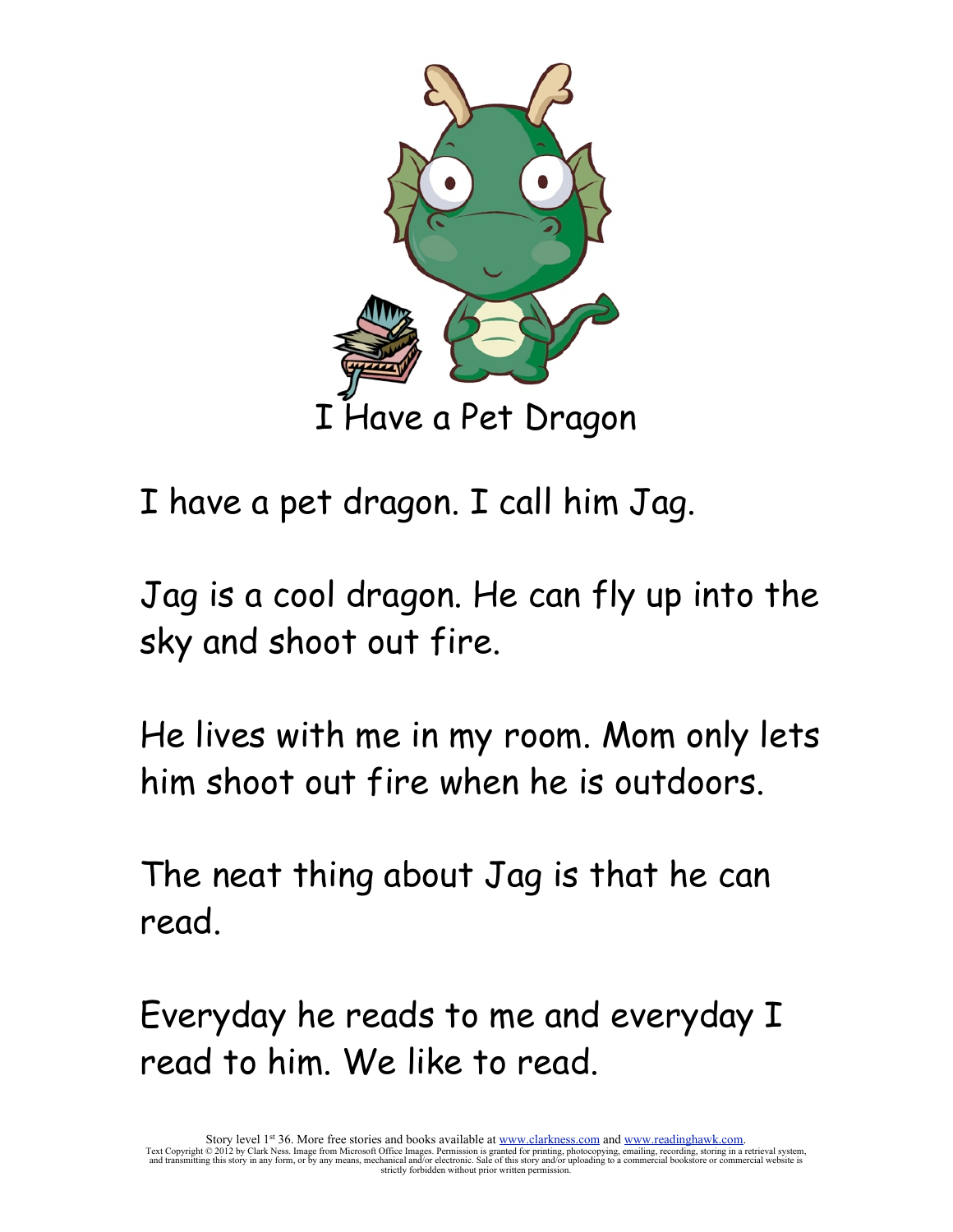

I have a pet dragon. I call him Jag.

Jag is a cool dragon. He can fly up into the sky and shoot out fire.

He lives with me in my room. Mom only lets him shoot out fire when he is outdoors.

The neat thing about Jag is that he can read.

Everyday he reads to me and everyday I read to him. We like to read.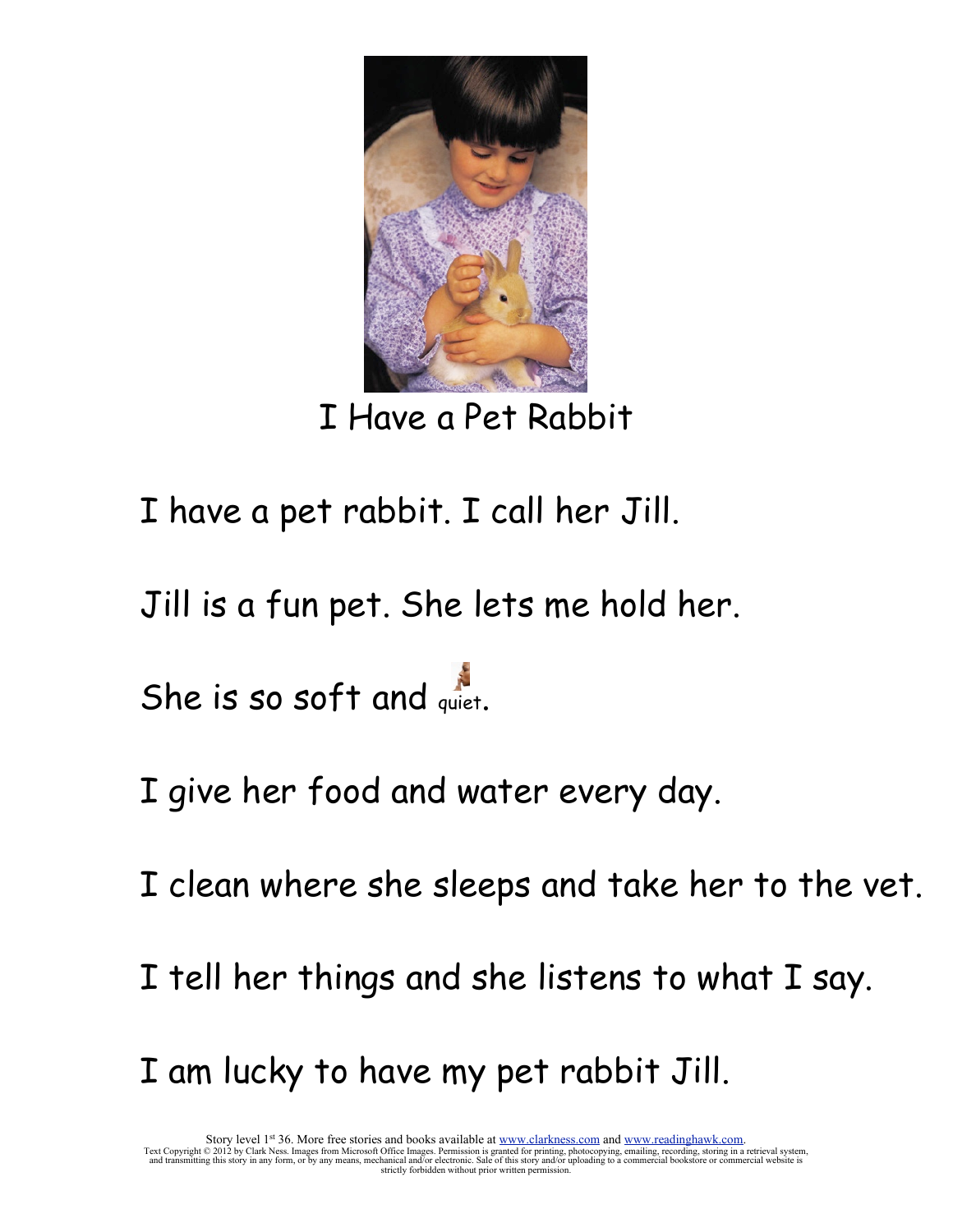

I Have a Pet Rabbit

- I have a pet rabbit. I call her Jill.
- Jill is a fun pet. She lets me hold her.

She is so soft and quiet.

- I give her food and water every day.
- I clean where she sleeps and take her to the vet.
- I tell her things and she listens to what I say.
- I am lucky to have my pet rabbit Jill.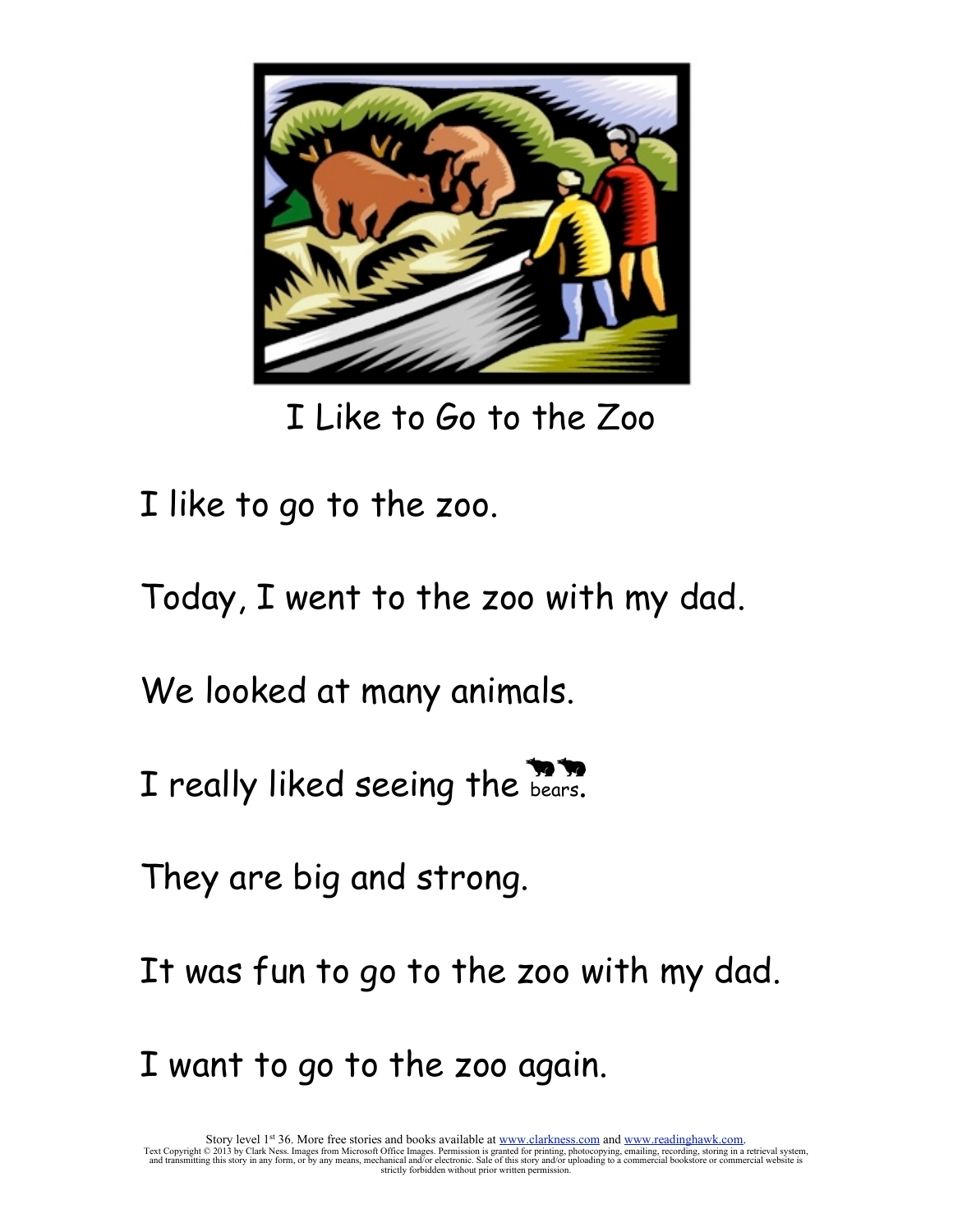

I Like to Go to the Zoo

I like to go to the zoo.

Today, I went to the zoo with my dad.

We looked at many animals.

I really liked seeing the bears.

They are big and strong.

It was fun to go to the zoo with my dad.

I want to go to the zoo again.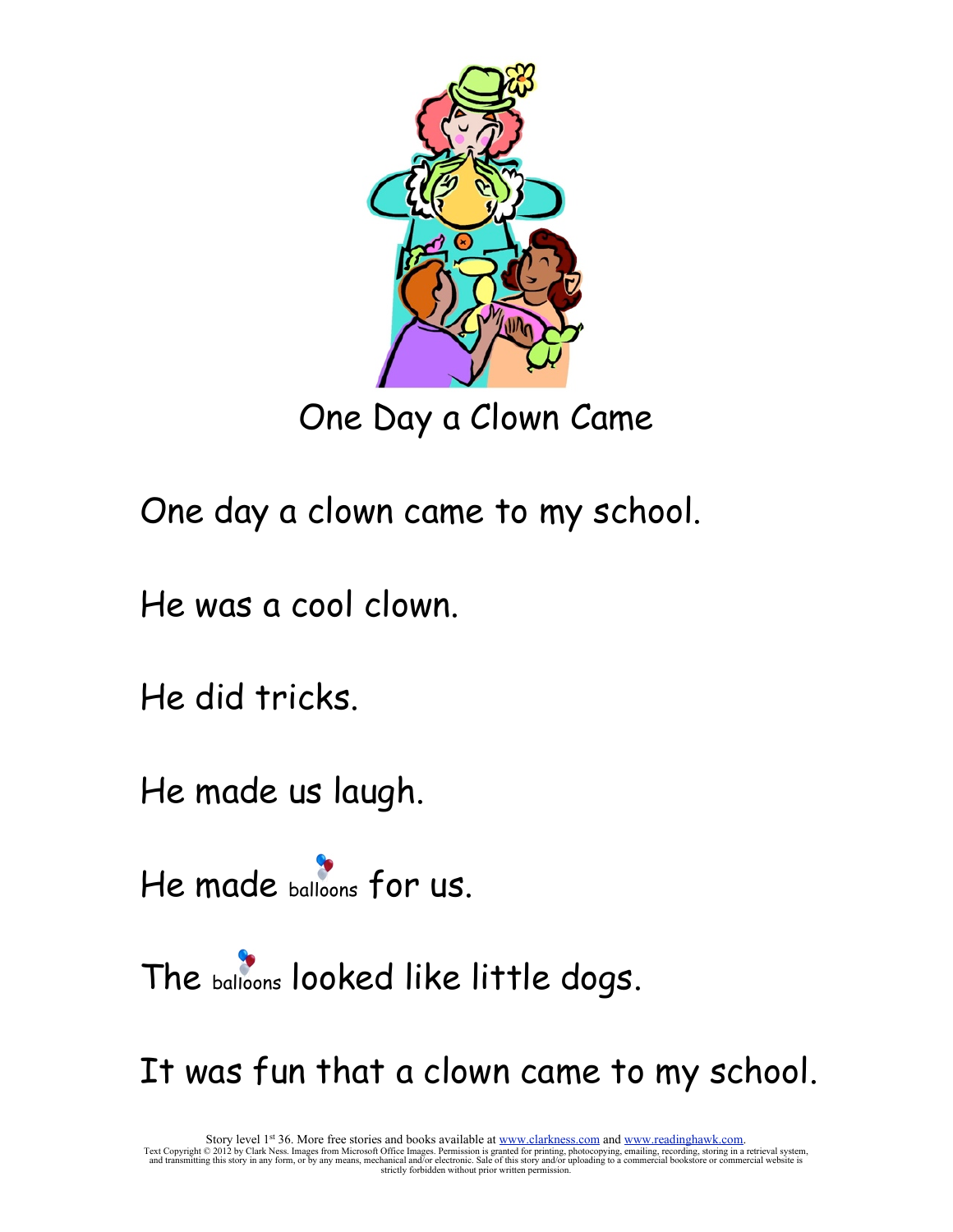

One Day a Clown Came

One day a clown came to my school.

He was a cool clown.

He did tricks.

He made us laugh.

He made balloons for us.

The balloons looked like little dogs.

It was fun that a clown came to my school.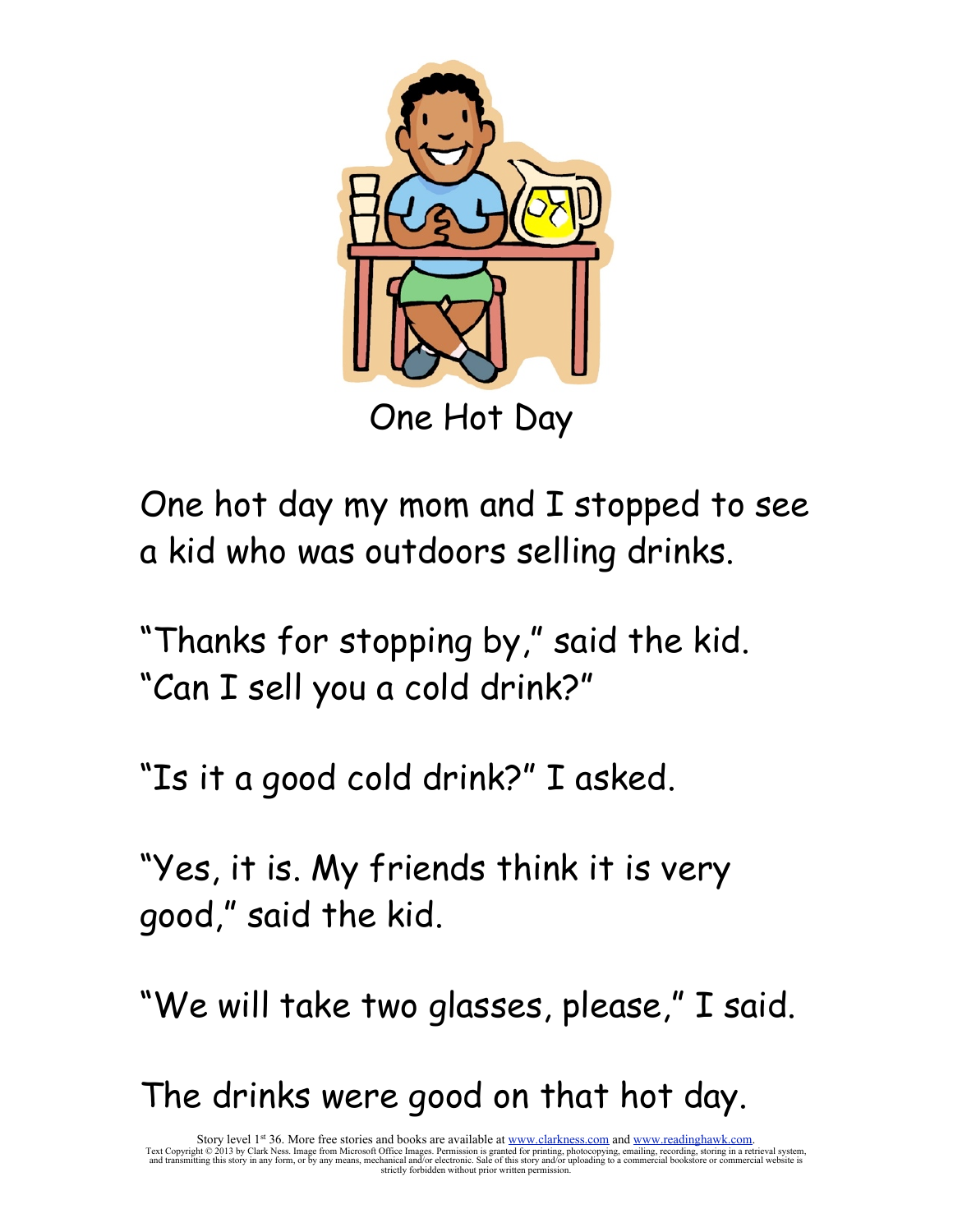

One Hot Day

One hot day my mom and I stopped to see a kid who was outdoors selling drinks.

"Thanks for stopping by," said the kid. "Can I sell you a cold drink?"

"Is it a good cold drink?" I asked.

"Yes, it is. My friends think it is very good," said the kid.

"We will take two glasses, please," I said.

The drinks were good on that hot day.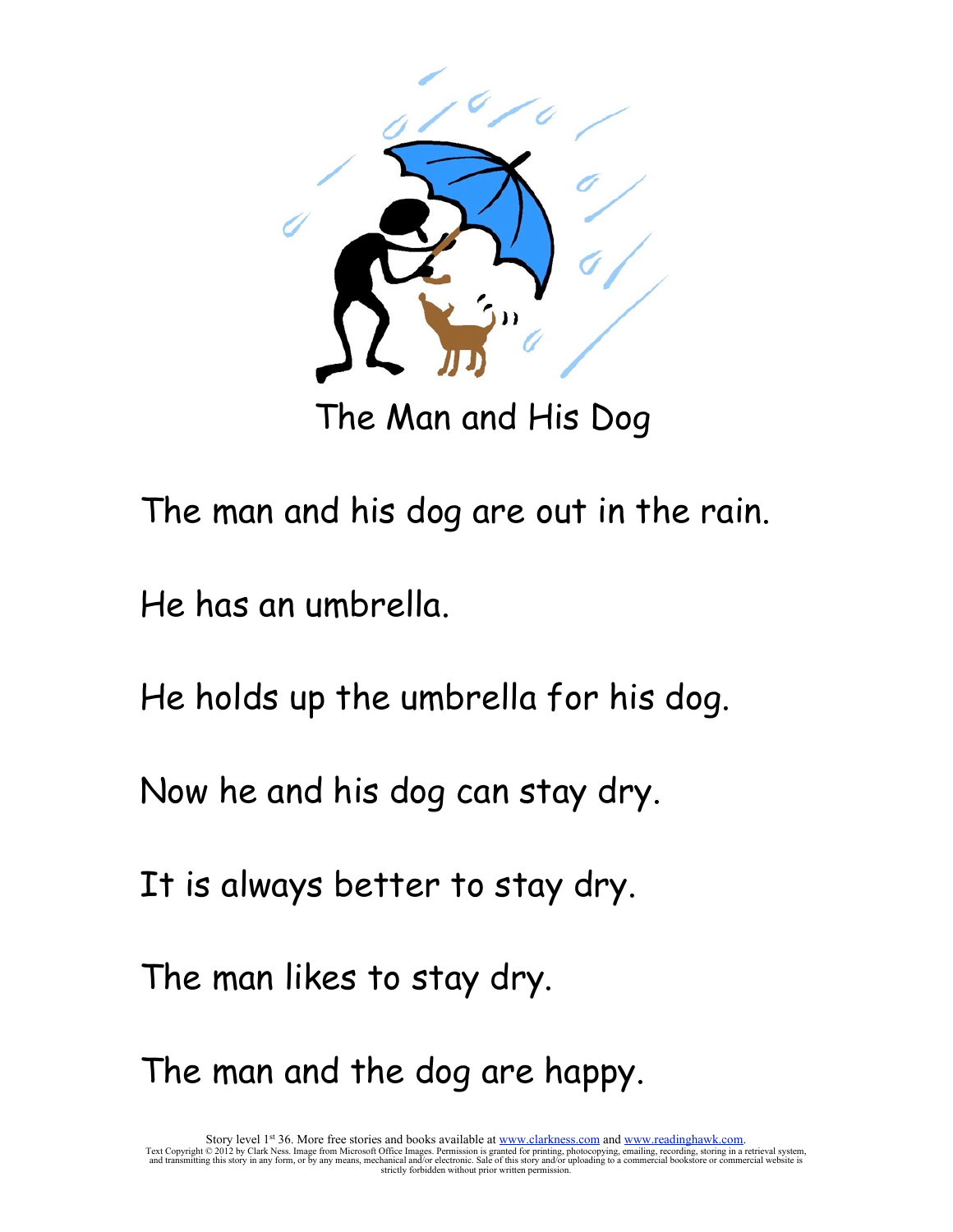

The Man and His Dog

The man and his dog are out in the rain.

He has an umbrella.

He holds up the umbrella for his dog.

Now he and his dog can stay dry.

It is always better to stay dry.

The man likes to stay dry.

The man and the dog are happy.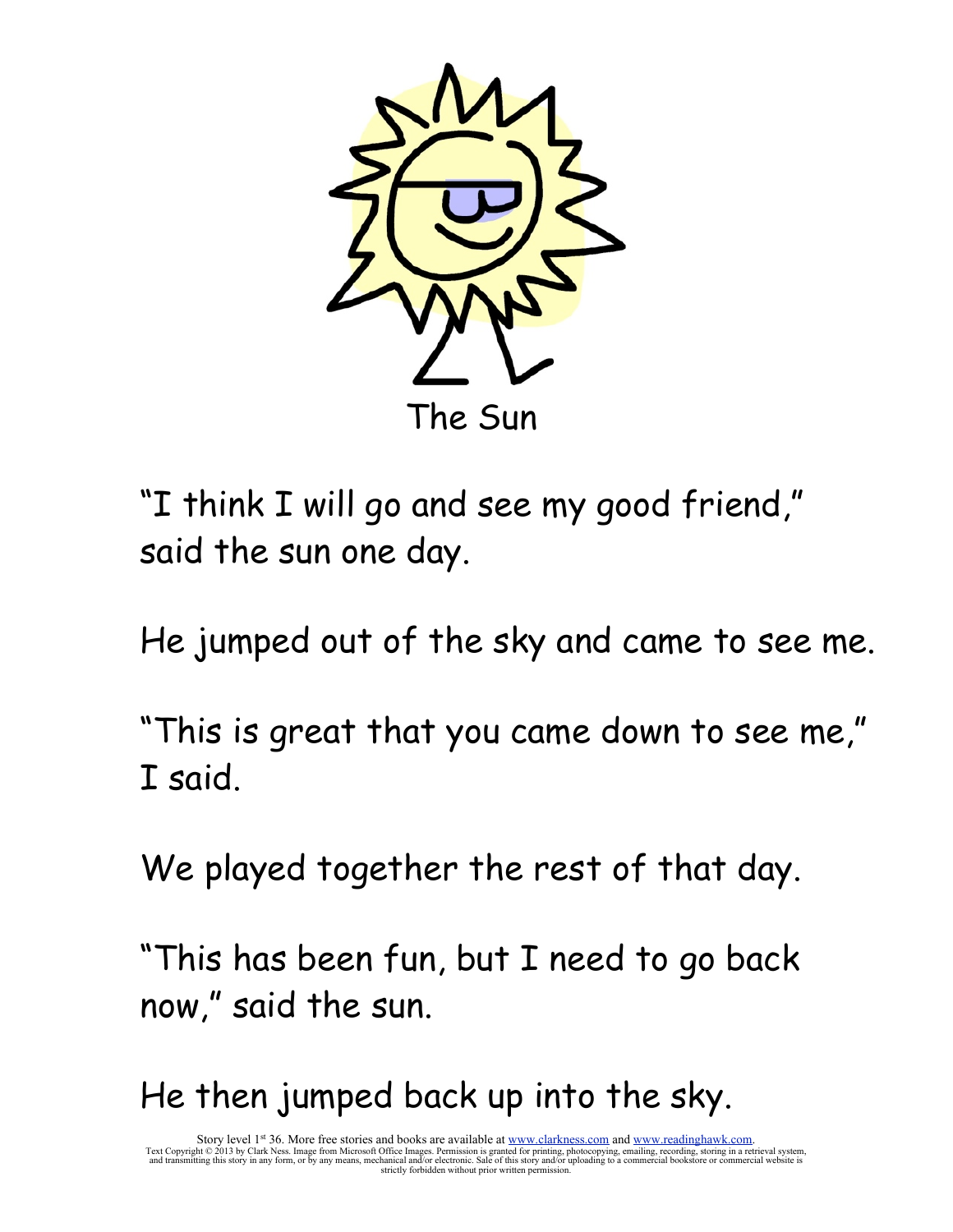

"I think I will go and see my good friend," said the sun one day.

He jumped out of the sky and came to see me.

"This is great that you came down to see me," I said.

We played together the rest of that day.

"This has been fun, but I need to go back now," said the sun.

He then jumped back up into the sky.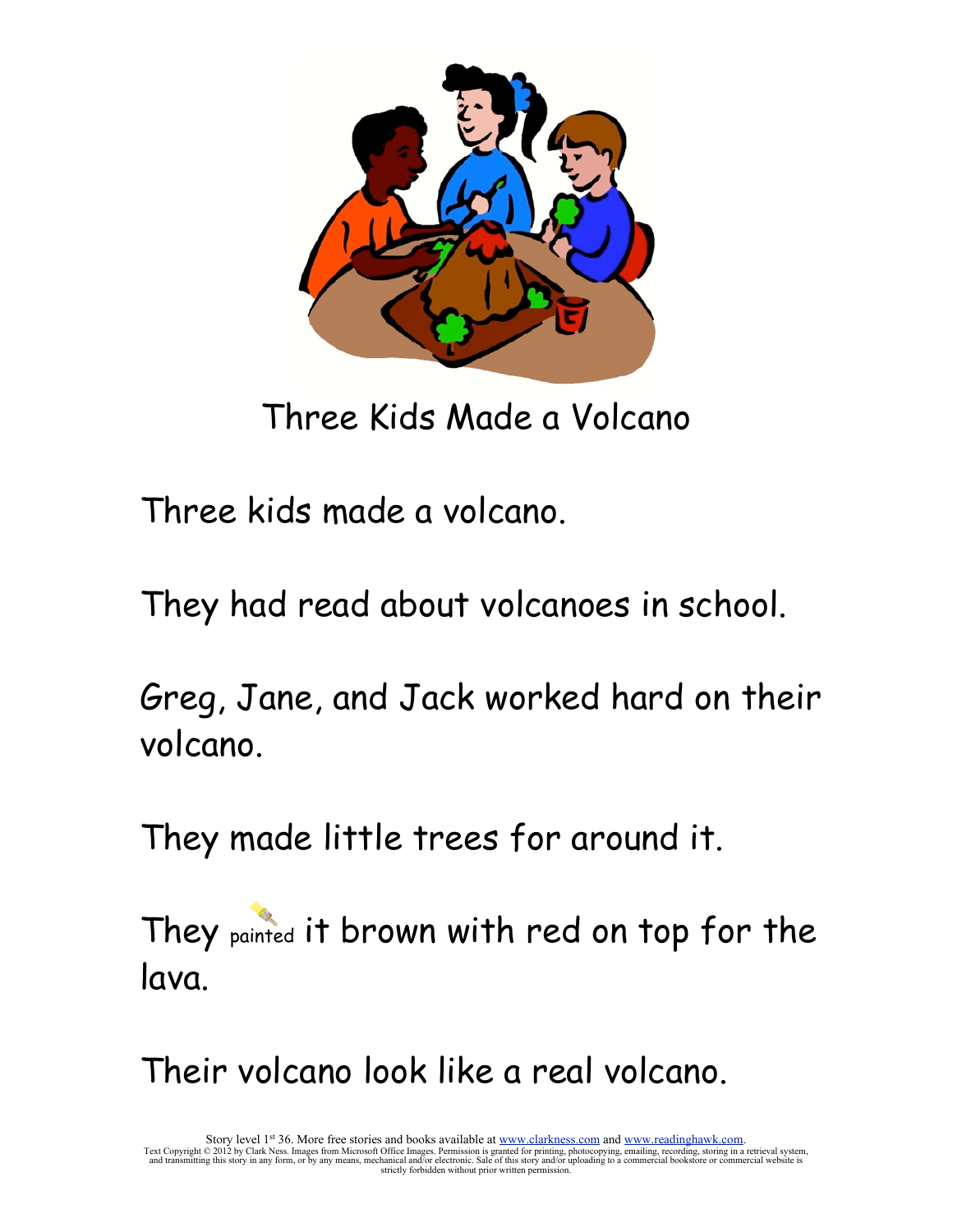

Three Kids Made a Volcano

Three kids made a volcano.

They had read about volcanoes in school.

Greg, Jane, and Jack worked hard on their volcano.

They made little trees for around it.

They painted it brown with red on top for the lava.

Their volcano look like a real volcano.